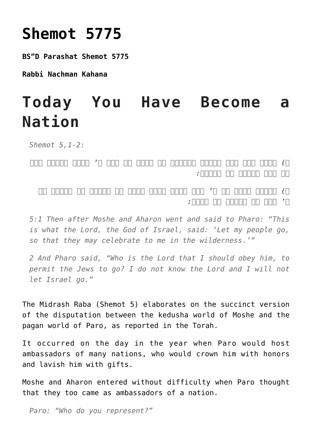## **[Shemot 5775](https://nachmankahana.com/shemot-5775/)**

**BS"D Parashat Shemot 5775**

**Rabbi Nachman Kahana**

## **Today You Have Become a Nation**

*Shemot 5,1-2:*

*א) ואחר באו משה ואהרן ויאמרו אל פרעה כה אמר ה' אלהי ישראל שלח את עמי ויחגו לי במדבר:*

*ב) ויאמר פרעה מי ה' אשר אשמע בקלו לשלח את ישראל לא ידעתי את ה' וגם את ישראל לא אשלח:*

*5:1 Then after Moshe and Aharon went and said to Pharo: "This is what the Lord, the God of Israel, said: 'Let my people go, so that they may celebrate to me in the wilderness.'"*

*2 And Pharo said, "Who is the Lord that I should obey him, to permit the Jews to go? I do not know the Lord and I will not let Israel go."*

The Midrash Raba (Shemot 5) elaborates on the succinct version of the disputation between the kedusha world of Moshe and the pagan world of Paro, as reported in the Torah.

It occurred on the day in the year when Paro would host ambassadors of many nations, who would crown him with honors and lavish him with gifts.

Moshe and Aharon entered without difficulty when Paro thought that they too came as ambassadors of a nation.

*Paro: "Who do you represent?"*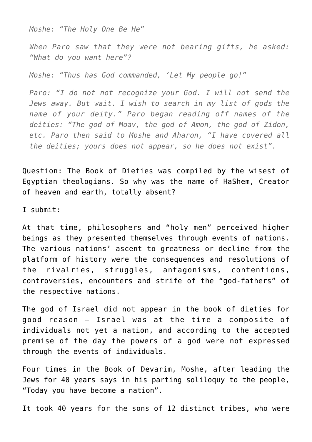*Moshe: "The Holy One Be He"*

*When Paro saw that they were not bearing gifts, he asked: "What do you want here"?*

*Moshe: "Thus has God commanded, 'Let My people go!"*

*Paro: "I do not not recognize your God. I will not send the Jews away. But wait. I wish to search in my list of gods the name of your deity." Paro began reading off names of the deities: "The god of Moav, the god of Amon, the god of Zidon, etc. Paro then said to Moshe and Aharon, "I have covered all the deities; yours does not appear, so he does not exist".*

Question: The Book of Dieties was compiled by the wisest of Egyptian theologians. So why was the name of HaShem, Creator of heaven and earth, totally absent?

I submit:

At that time, philosophers and "holy men" perceived higher beings as they presented themselves through events of nations. The various nations' ascent to greatness or decline from the platform of history were the consequences and resolutions of the rivalries, struggles, antagonisms, contentions, controversies, encounters and strife of the "god-fathers" of the respective nations.

The god of Israel did not appear in the book of dieties for good reason – Israel was at the time a composite of individuals not yet a nation, and according to the accepted premise of the day the powers of a god were not expressed through the events of individuals.

Four times in the Book of Devarim, Moshe, after leading the Jews for 40 years says in his parting soliloquy to the people, "Today you have become a nation".

It took 40 years for the sons of 12 distinct tribes, who were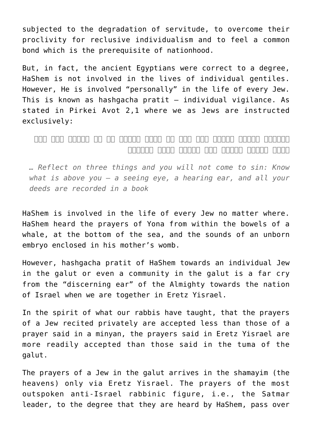subjected to the degradation of servitude, to overcome their proclivity for reclusive individualism and to feel a common bond which is the prerequisite of nationhood.

But, in fact, the ancient Egyptians were correct to a degree, HaShem is not involved in the lives of individual gentiles. However, He is involved "personally" in the life of every Jew. This is known as hashgacha pratit – individual vigilance. As stated in Pirkei Avot 2,1 where we as Jews are instructed exclusively:

*והסתכל בשלשה דברים ואי אתה בא לידי עבירה דע מה למעלה ממך עין רואה ואוזן שומעת וכל מעשיך בספר נכתבין*

*… Reflect on three things and you will not come to sin: Know what is above you – a seeing eye, a hearing ear, and all your deeds are recorded in a book*

HaShem is involved in the life of every Jew no matter where. HaShem heard the prayers of Yona from within the bowels of a whale, at the bottom of the sea, and the sounds of an unborn embryo enclosed in his mother's womb.

However, hashgacha pratit of HaShem towards an individual Jew in the galut or even a community in the galut is a far cry from the "discerning ear" of the Almighty towards the nation of Israel when we are together in Eretz Yisrael.

In the spirit of what our rabbis have taught, that the prayers of a Jew recited privately are accepted less than those of a prayer said in a minyan, the prayers said in Eretz Yisrael are more readily accepted than those said in the tuma of the galut.

The prayers of a Jew in the galut arrives in the shamayim (the heavens) only via Eretz Yisrael. The prayers of the most outspoken anti-Israel rabbinic figure, i.e., the Satmar leader, to the degree that they are heard by HaShem, pass over